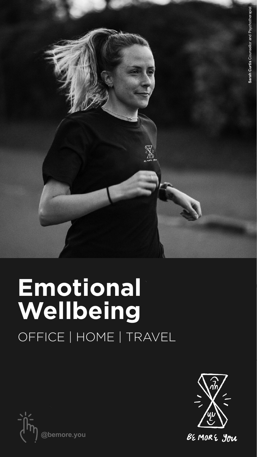

## **Emotional Wellbeing** OFFICE | HOME | TRAVEL





BEMORE You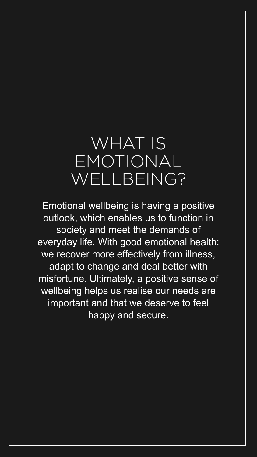## WHAT IS EMOTIONAL WELLBEING?

Emotional wellbeing is having a positive outlook, which enables us to function in society and meet the demands of everyday life. With good emotional health: we recover more effectively from illness, adapt to change and deal better with misfortune. Ultimately, a positive sense of wellbeing helps us realise our needs are important and that we deserve to feel

happy and secure.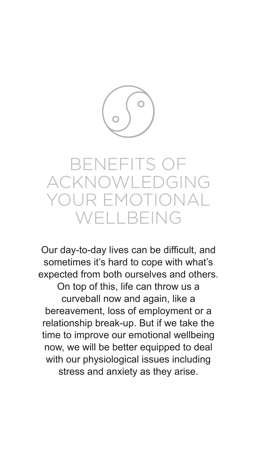

## BENEFITS OF ACKNOWLEDGING R EMOTIONAL WELLBEING

Our day-to-day lives can be difficult, and sometimes it's hard to cope with what's expected from both ourselves and others. On top of this, life can throw us a curveball now and again, like a bereavement, loss of employment or a relationship break-up. But if we take the time to improve our emotional wellbeing now, we will be better equipped to deal with our physiological issues including stress and anxiety as they arise.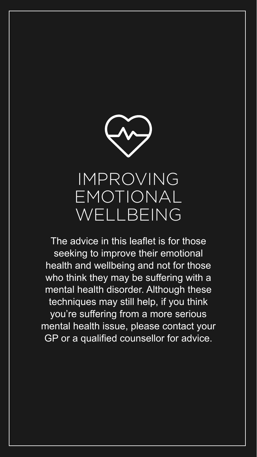

## IMPROVING EMOTIONAL WELLBEING

The advice in this leaflet is for those seeking to improve their emotional health and wellbeing and not for those who think they may be suffering with a mental health disorder. Although these techniques may still help, if you think you're suffering from a more serious mental health issue, please contact your GP or a qualified counsellor for advice.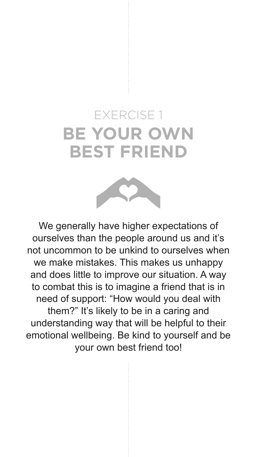## EXERCISE 1 **BE YOUR OWN BEST FRIEND**



We generally have higher expectations of ourselves than the people around us and it's not uncommon to be unkind to ourselves when we make mistakes. This makes us unhappy and does little to improve our situation. A way to combat this is to imagine a friend that is in need of support: "How would you deal with them?" It's likely to be in a caring and understanding way that will be helpful to their emotional wellbeing. Be kind to yourself and be your own best friend too!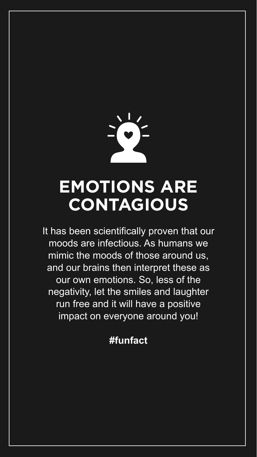

## **EMOTIONS ARE CONTAGIOUS**

It has been scientifically proven that our moods are infectious. As humans we mimic the moods of those around us, and our brains then interpret these as our own emotions. So, less of the negativity, let the smiles and laughter run free and it will have a positive

#### impact on everyone around you!

#### **#funfact**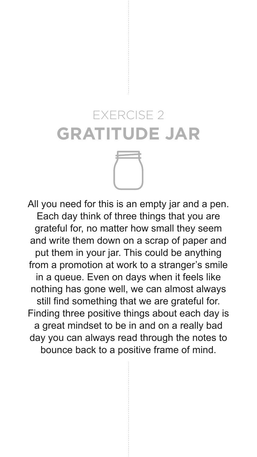# EXERCISE 2 **GRATITUDE JAR**

All you need for this is an empty jar and a pen. Each day think of three things that you are grateful for, no matter how small they seem and write them down on a scrap of paper and put them in your jar. This could be anything from a promotion at work to a stranger's smile in a queue. Even on days when it feels like nothing has gone well, we can almost always still find something that we are grateful for. Finding three positive things about each day is a great mindset to be in and on a really bad day you can always read through the notes to bounce back to a positive frame of mind.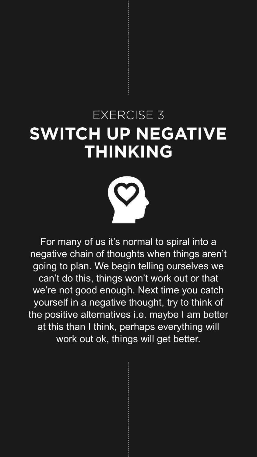## EXERCISE 3 **SWITCH UP NEGATIVE THINKING**



For many of us it's normal to spiral into a negative chain of thoughts when things aren't going to plan. We begin telling ourselves we can't do this, things won't work out or that we're not good enough. Next time you catch yourself in a negative thought, try to think of

the positive alternatives i.e. maybe I am better at this than I think, perhaps everything will work out ok, things will get better.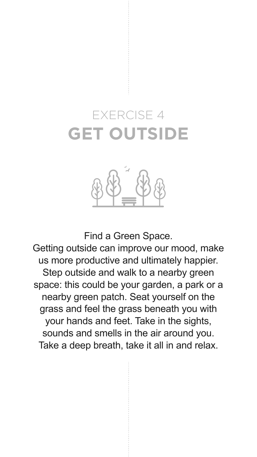### EXERCISE 4 **GET OUTSIDE**



Find a Green Space.

Getting outside can improve our mood, make us more productive and ultimately happier. Step outside and walk to a nearby green space: this could be your garden, a park or a nearby green patch. Seat yourself on the grass and feel the grass beneath you with your hands and feet. Take in the sights, sounds and smells in the air around you. Take a deep breath, take it all in and relax.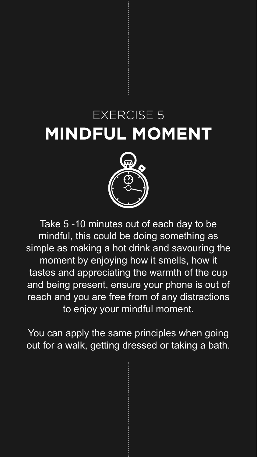## EXERCISE 5 **MINDFUL MOMENT**



Take 5 -10 minutes out of each day to be mindful, this could be doing something as simple as making a hot drink and savouring the moment by enjoying how it smells, how it tastes and appreciating the warmth of the cup and being present, ensure your phone is out of reach and you are free from of any distractions

#### to enjoy your mindful moment.

You can apply the same principles when going out for a walk, getting dressed or taking a bath.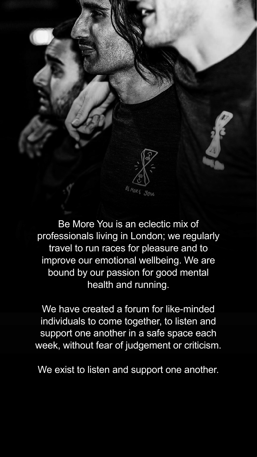

Be More You is an eclectic mix of professionals living in London; we regularly travel to run races for pleasure and to improve our emotional wellbeing. We are bound by our passion for good mental health and running.

We have created a forum for like-minded individuals to come together, to listen and support one another in a safe space each week, without fear of judgement or criticism.

We exist to listen and support one another.